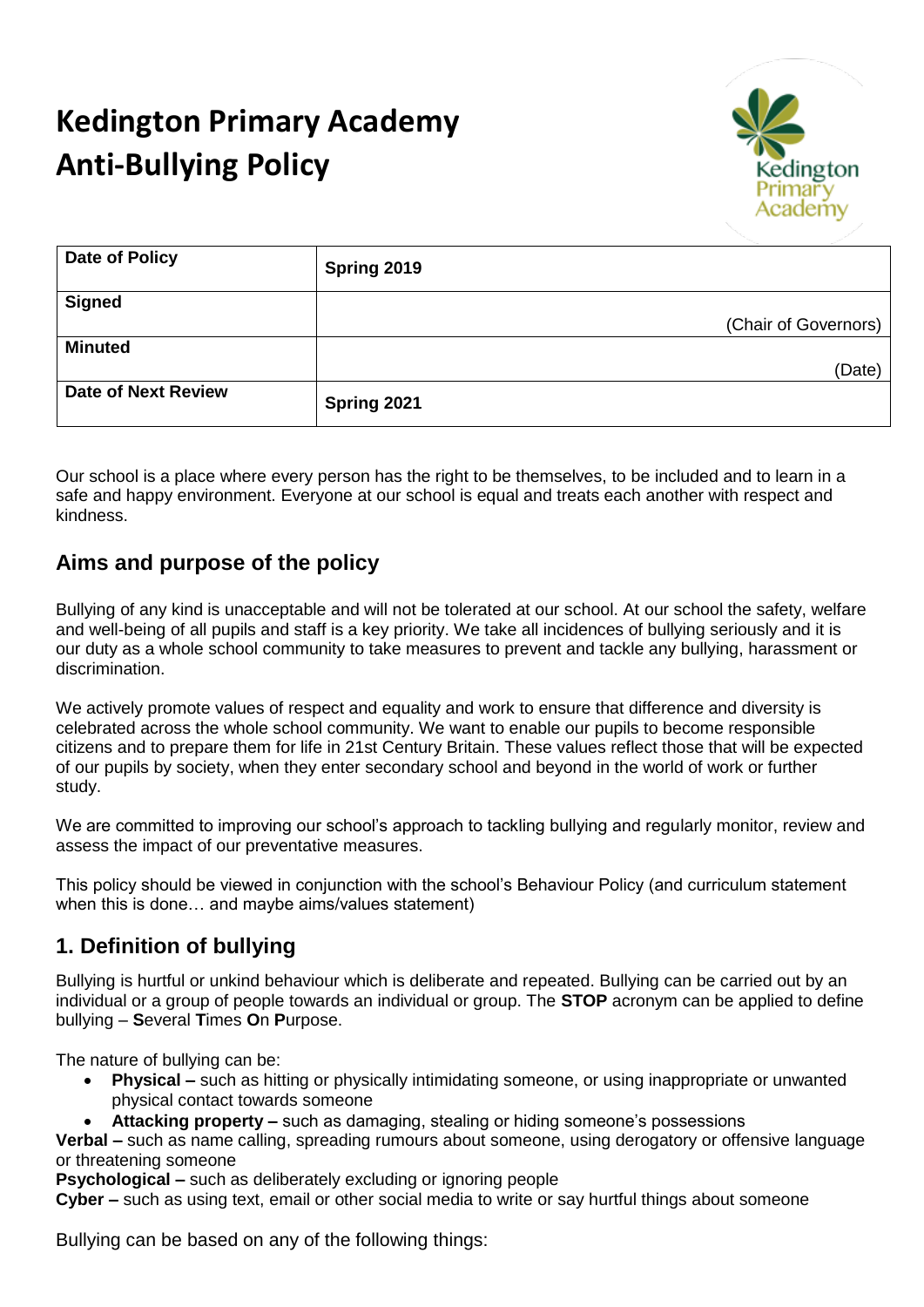# **Kedington Primary Academy Anti-Bullying Policy**



| <b>Date of Policy</b>      | Spring 2019          |
|----------------------------|----------------------|
| <b>Signed</b>              |                      |
|                            | (Chair of Governors) |
| <b>Minuted</b>             |                      |
|                            | (Date)               |
| <b>Date of Next Review</b> | Spring 2021          |

Our school is a place where every person has the right to be themselves, to be included and to learn in a safe and happy environment. Everyone at our school is equal and treats each another with respect and kindness.

#### **Aims and purpose of the policy**

Bullying of any kind is unacceptable and will not be tolerated at our school. At our school the safety, welfare and well-being of all pupils and staff is a key priority. We take all incidences of bullying seriously and it is our duty as a whole school community to take measures to prevent and tackle any bullying, harassment or discrimination.

We actively promote values of respect and equality and work to ensure that difference and diversity is celebrated across the whole school community. We want to enable our pupils to become responsible citizens and to prepare them for life in 21st Century Britain. These values reflect those that will be expected of our pupils by society, when they enter secondary school and beyond in the world of work or further study.

We are committed to improving our school's approach to tackling bullying and regularly monitor, review and assess the impact of our preventative measures.

This policy should be viewed in conjunction with the school's Behaviour Policy (and curriculum statement when this is done… and maybe aims/values statement)

#### **1. Definition of bullying**

Bullying is hurtful or unkind behaviour which is deliberate and repeated. Bullying can be carried out by an individual or a group of people towards an individual or group. The **STOP** acronym can be applied to define bullying – **S**everal **T**imes **O**n **P**urpose.

The nature of bullying can be:

- **Physical –** such as hitting or physically intimidating someone, or using inappropriate or unwanted physical contact towards someone
- **Attacking property –** such as damaging, stealing or hiding someone's possessions

**Verbal –** such as name calling, spreading rumours about someone, using derogatory or offensive language or threatening someone

**Psychological –** such as deliberately excluding or ignoring people

**Cyber –** such as using text, email or other social media to write or say hurtful things about someone

Bullying can be based on any of the following things: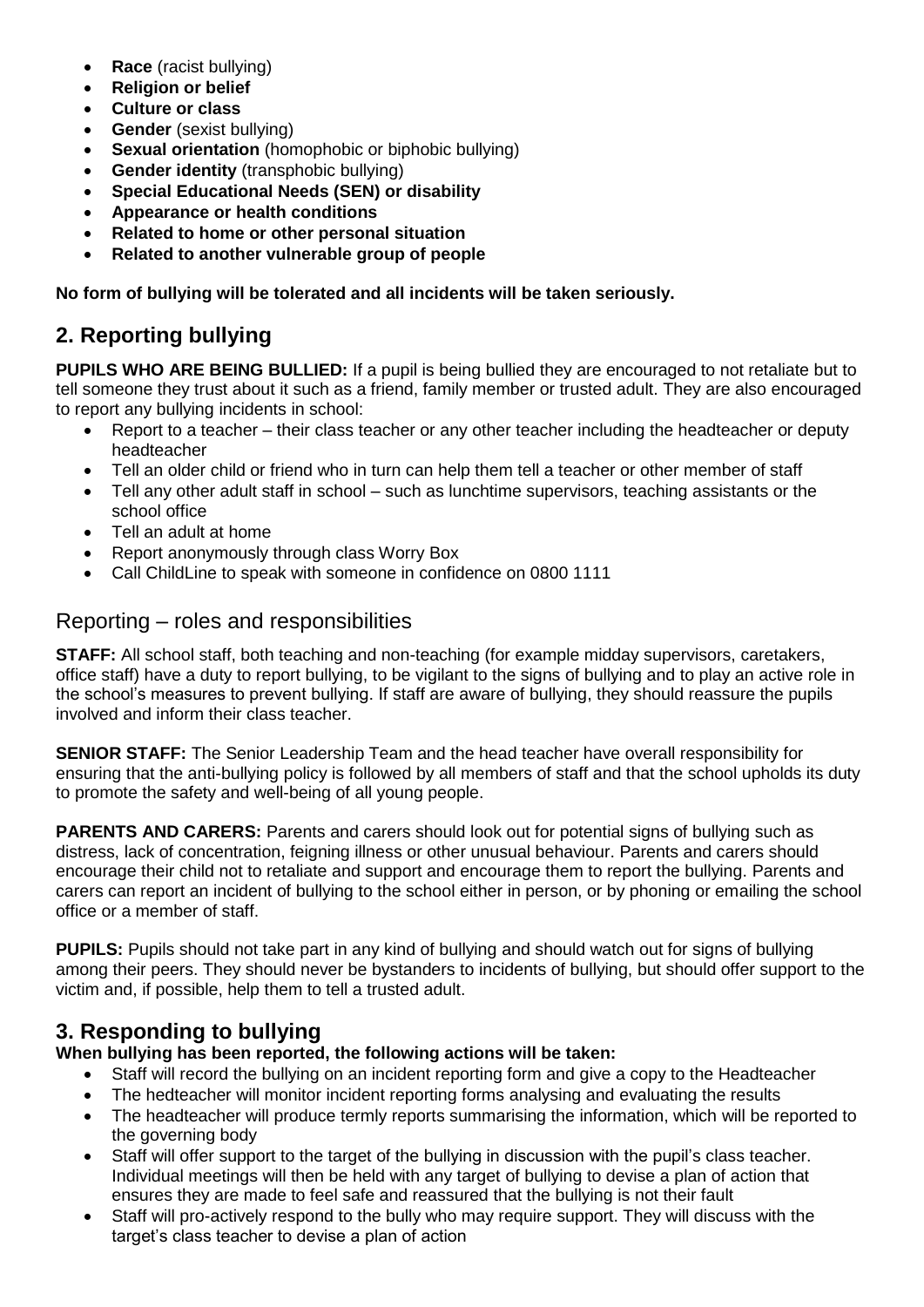- **Race** (racist bullying)
- **Religion or belief**
- **Culture or class**
- **Gender** (sexist bullying)
- **Sexual orientation** (homophobic or biphobic bullying)
- **Gender identity** (transphobic bullying)
- **Special Educational Needs (SEN) or disability**
- **Appearance or health conditions**
- **Related to home or other personal situation**
- **Related to another vulnerable group of people**

#### **No form of bullying will be tolerated and all incidents will be taken seriously.**

# **2. Reporting bullying**

**PUPILS WHO ARE BEING BULLIED:** If a pupil is being bullied they are encouraged to not retaliate but to tell someone they trust about it such as a friend, family member or trusted adult. They are also encouraged to report any bullying incidents in school:

- Report to a teacher their class teacher or any other teacher including the headteacher or deputy headteacher
- Tell an older child or friend who in turn can help them tell a teacher or other member of staff
- Tell any other adult staff in school such as lunchtime supervisors, teaching assistants or the school office
- Tell an adult at home
- Report anonymously through class Worry Box
- Call ChildLine to speak with someone in confidence on 0800 1111

#### Reporting – roles and responsibilities

**STAFF:** All school staff, both teaching and non-teaching (for example midday supervisors, caretakers, office staff) have a duty to report bullying, to be vigilant to the signs of bullying and to play an active role in the school's measures to prevent bullying. If staff are aware of bullying, they should reassure the pupils involved and inform their class teacher.

**SENIOR STAFF:** The Senior Leadership Team and the head teacher have overall responsibility for ensuring that the anti-bullying policy is followed by all members of staff and that the school upholds its duty to promote the safety and well-being of all young people.

**PARENTS AND CARERS:** Parents and carers should look out for potential signs of bullying such as distress, lack of concentration, feigning illness or other unusual behaviour. Parents and carers should encourage their child not to retaliate and support and encourage them to report the bullying. Parents and carers can report an incident of bullying to the school either in person, or by phoning or emailing the school office or a member of staff.

**PUPILS:** Pupils should not take part in any kind of bullying and should watch out for signs of bullying among their peers. They should never be bystanders to incidents of bullying, but should offer support to the victim and, if possible, help them to tell a trusted adult.

#### **3. Responding to bullying**

#### **When bullying has been reported, the following actions will be taken:**

- Staff will record the bullying on an incident reporting form and give a copy to the Headteacher
- The hedteacher will monitor incident reporting forms analysing and evaluating the results
- The headteacher will produce termly reports summarising the information, which will be reported to the governing body
- Staff will offer support to the target of the bullying in discussion with the pupil's class teacher. Individual meetings will then be held with any target of bullying to devise a plan of action that ensures they are made to feel safe and reassured that the bullying is not their fault
- Staff will pro-actively respond to the bully who may require support. They will discuss with the target's class teacher to devise a plan of action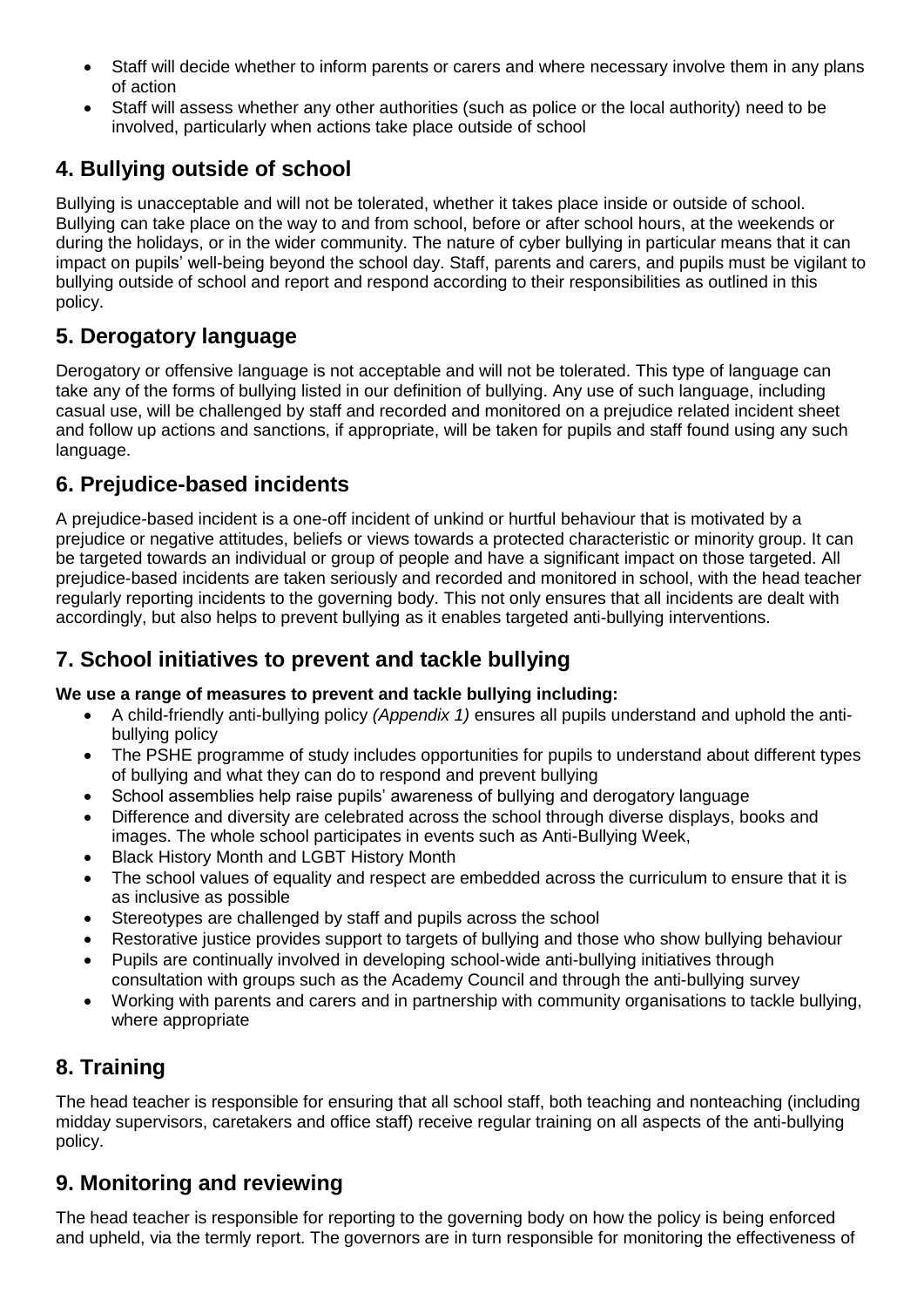- Staff will decide whether to inform parents or carers and where necessary involve them in any plans of action
- Staff will assess whether any other authorities (such as police or the local authority) need to be involved, particularly when actions take place outside of school

# **4. Bullying outside of school**

Bullying is unacceptable and will not be tolerated, whether it takes place inside or outside of school. Bullying can take place on the way to and from school, before or after school hours, at the weekends or during the holidays, or in the wider community. The nature of cyber bullying in particular means that it can impact on pupils' well-being beyond the school day. Staff, parents and carers, and pupils must be vigilant to bullying outside of school and report and respond according to their responsibilities as outlined in this policy.

# **5. Derogatory language**

Derogatory or offensive language is not acceptable and will not be tolerated. This type of language can take any of the forms of bullying listed in our definition of bullying. Any use of such language, including casual use, will be challenged by staff and recorded and monitored on a prejudice related incident sheet and follow up actions and sanctions, if appropriate, will be taken for pupils and staff found using any such language.

#### **6. Prejudice-based incidents**

A prejudice-based incident is a one-off incident of unkind or hurtful behaviour that is motivated by a prejudice or negative attitudes, beliefs or views towards a protected characteristic or minority group. It can be targeted towards an individual or group of people and have a significant impact on those targeted. All prejudice-based incidents are taken seriously and recorded and monitored in school, with the head teacher regularly reporting incidents to the governing body. This not only ensures that all incidents are dealt with accordingly, but also helps to prevent bullying as it enables targeted anti-bullying interventions.

# **7. School initiatives to prevent and tackle bullying**

#### **We use a range of measures to prevent and tackle bullying including:**

- A child-friendly anti-bullying policy *(Appendix 1)* ensures all pupils understand and uphold the antibullying policy
- The PSHE programme of study includes opportunities for pupils to understand about different types of bullying and what they can do to respond and prevent bullying
- School assemblies help raise pupils' awareness of bullying and derogatory language
- Difference and diversity are celebrated across the school through diverse displays, books and images. The whole school participates in events such as Anti-Bullying Week,
- Black History Month and LGBT History Month
- The school values of equality and respect are embedded across the curriculum to ensure that it is as inclusive as possible
- Stereotypes are challenged by staff and pupils across the school
- Restorative justice provides support to targets of bullying and those who show bullying behaviour
- Pupils are continually involved in developing school-wide anti-bullying initiatives through consultation with groups such as the Academy Council and through the anti-bullying survey
- Working with parents and carers and in partnership with community organisations to tackle bullying, where appropriate

#### **8. Training**

The head teacher is responsible for ensuring that all school staff, both teaching and nonteaching (including midday supervisors, caretakers and office staff) receive regular training on all aspects of the anti-bullying policy.

#### **9. Monitoring and reviewing**

The head teacher is responsible for reporting to the governing body on how the policy is being enforced and upheld, via the termly report. The governors are in turn responsible for monitoring the effectiveness of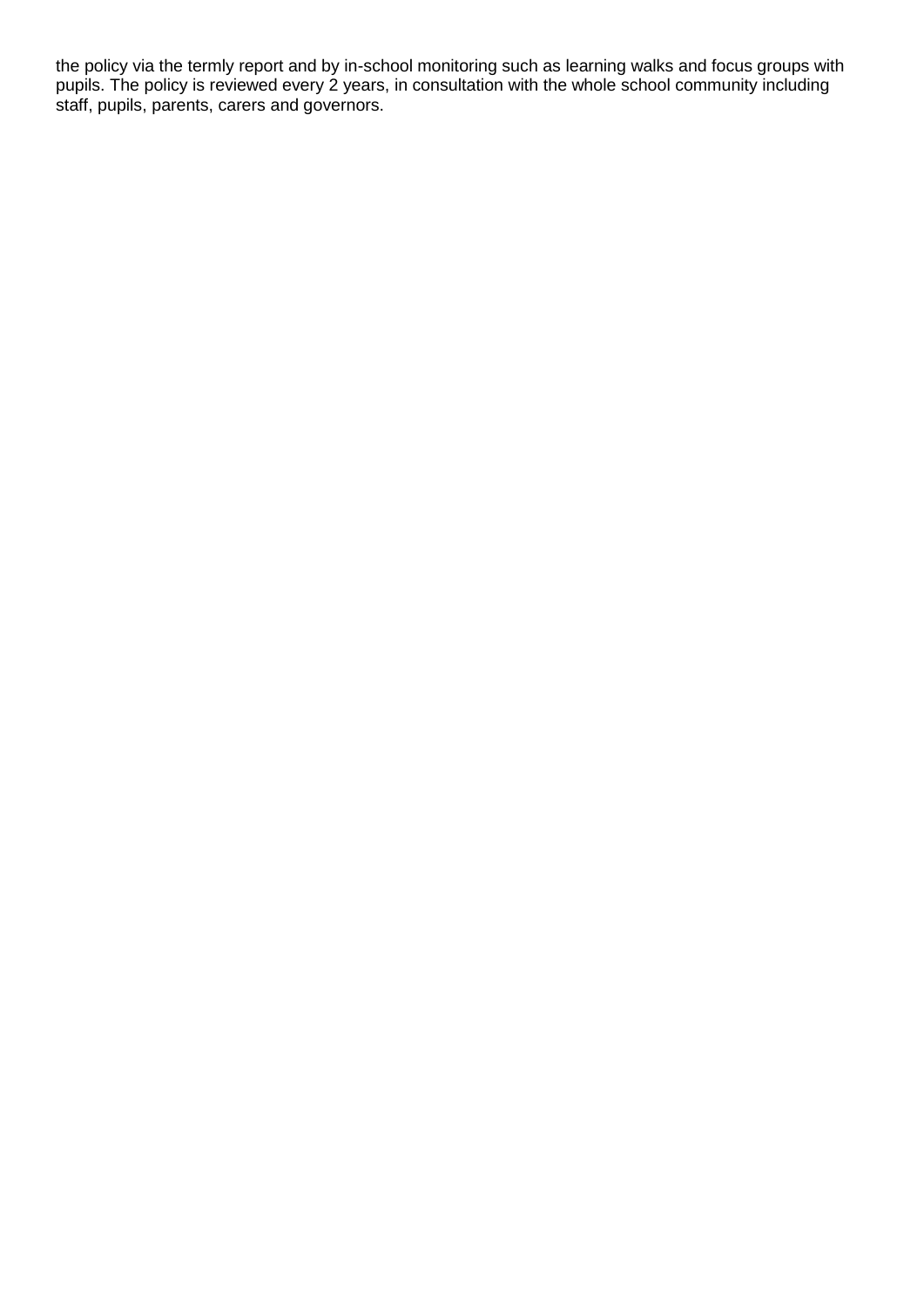the policy via the termly report and by in-school monitoring such as learning walks and focus groups with pupils. The policy is reviewed every 2 years, in consultation with the whole school community including staff, pupils, parents, carers and governors.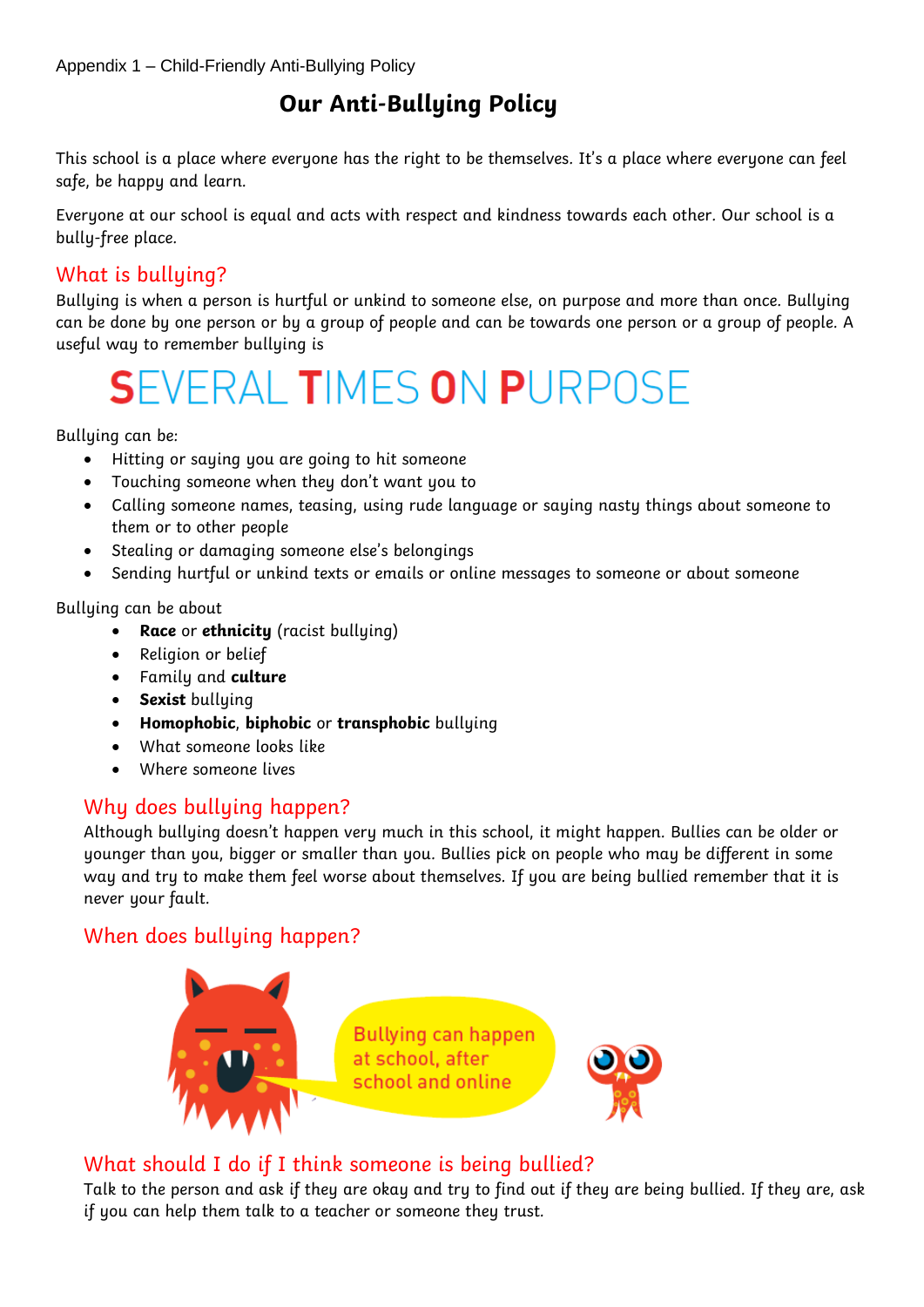# **Our Anti-Bullying Policy**

This school is a place where everyone has the right to be themselves. It's a place where everyone can feel safe, be happy and learn.

Everyone at our school is equal and acts with respect and kindness towards each other. Our school is a bully-free place.

#### What is bullying?

Bullying is when a person is hurtful or unkind to someone else, on purpose and more than once. Bullying can be done by one person or by a group of people and can be towards one person or a group of people. A useful way to remember bullying is

# **SEVERAL TIMES ON PURPOSE**

Bulluing can be:

- Hitting or saying you are going to hit someone
- Touching someone when they don't want you to
- Calling someone names, teasing, using rude language or saying nasty things about someone to them or to other people
- Stealing or damaging someone else's belongings
- Sending hurtful or unkind texts or emails or online messages to someone or about someone

Bullying can be about

- **Race** or **ethnicity** (racist bullying)
- Religion or belief
- Family and **culture**
- **Sexist bullying**
- **Homophobic**, **biphobic** or **transphobic** bullying
- What someone looks like
- Where someone lives

#### Why does bullying happen?

Although bullying doesn't happen very much in this school, it might happen. Bullies can be older or younger than you, bigger or smaller than you. Bullies pick on people who may be different in some way and try to make them feel worse about themselves. If you are being bullied remember that it is never your fault.

#### When does bullying happen?



#### What should I do if I think someone is being bullied?

Talk to the person and ask if they are okay and try to find out if they are being bullied. If they are, ask if you can help them talk to a teacher or someone they trust.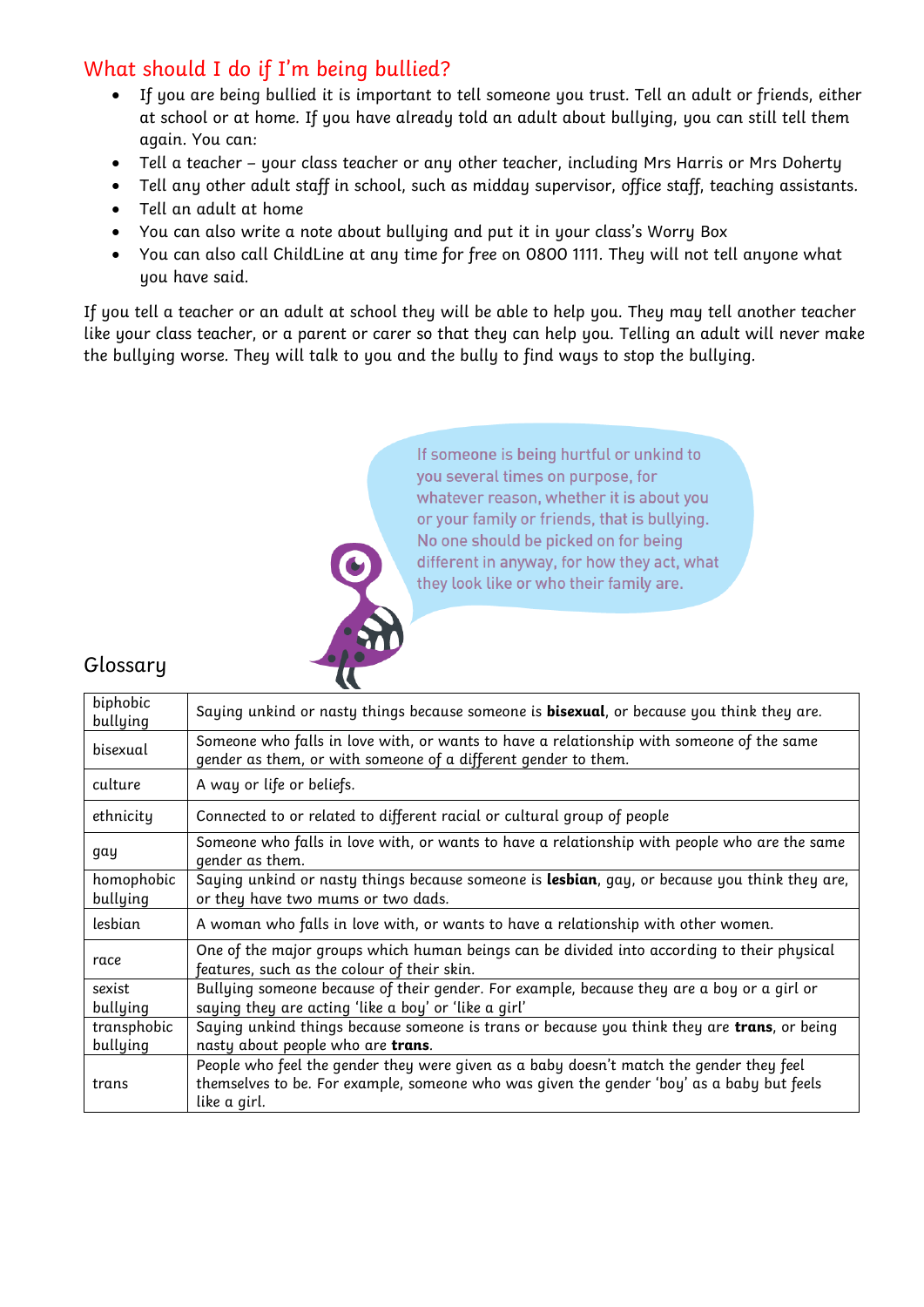# What should I do if I'm being bullied?

- If you are being bullied it is important to tell someone you trust. Tell an adult or friends, either at school or at home. If you have already told an adult about bullying, you can still tell them again. You can:
- Tell a teacher your class teacher or any other teacher, including Mrs Harris or Mrs Doherty
- Tell any other adult staff in school, such as midday supervisor, office staff, teaching assistants.
- Tell an adult at home
- You can also write a note about bullying and put it in your class's Worry Box
- You can also call ChildLine at any time for free on 0800 1111. They will not tell anyone what you have said.

If you tell a teacher or an adult at school they will be able to help you. They may tell another teacher like your class teacher, or a parent or carer so that they can help you. Telling an adult will never make the bullying worse. They will talk to you and the bully to find ways to stop the bullying.

> If someone is being hurtful or unkind to you several times on purpose, for whatever reason, whether it is about you or your family or friends, that is bullying. No one should be picked on for being different in anyway, for how they act, what they look like or who their family are.

#### Glossary

| biphobic<br>bullying    | Saying unkind or nasty things because someone is <b>bisexual</b> , or because you think they are.                                                                                                    |
|-------------------------|------------------------------------------------------------------------------------------------------------------------------------------------------------------------------------------------------|
| bisexual                | Someone who falls in love with, or wants to have a relationship with someone of the same<br>gender as them, or with someone of a different gender to them.                                           |
| culture                 | A way or life or beliefs.                                                                                                                                                                            |
| ethnicity               | Connected to or related to different racial or cultural group of people                                                                                                                              |
| gay                     | Someone who falls in love with, or wants to have a relationship with people who are the same<br>gender as them.                                                                                      |
| homophobic<br>bullying  | Saying unkind or nasty things because someone is lesbian, gay, or because you think they are,<br>or they have two mums or two dads.                                                                  |
| lesbian                 | A woman who falls in love with, or wants to have a relationship with other women.                                                                                                                    |
| race                    | One of the major groups which human beings can be divided into according to their physical<br>features, such as the colour of their skin.                                                            |
| sexist<br>bullying      | Bullying someone because of their gender. For example, because they are a boy or a girl or<br>saying they are acting 'like a boy' or 'like a girl'                                                   |
| transphobic<br>bullying | Saying unkind things because someone is trans or because you think they are trans, or being<br>nasty about people who are trans.                                                                     |
| trans                   | People who feel the gender they were given as a baby doesn't match the gender they feel<br>themselves to be. For example, someone who was given the gender 'boy' as a baby but feels<br>like a girl. |